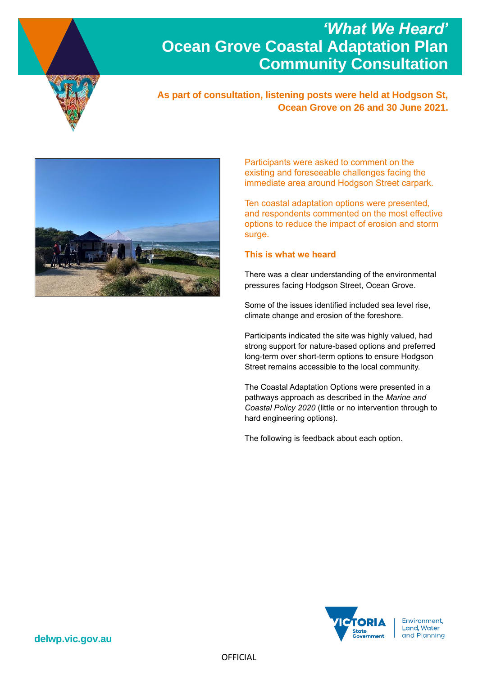

# *'What We Heard'*  **Ocean Grove Coastal Adaptation Plan Community Consultation**

**As part of consultation, listening posts were held at Hodgson St, Ocean Grove on 26 and 30 June 2021.**



Participants were asked to comment on the existing and foreseeable challenges facing the immediate area around Hodgson Street carpark.

Ten coastal adaptation options were presented, and respondents commented on the most effective options to reduce the impact of erosion and storm surge.

# **This is what we heard**

There was a clear understanding of the environmental pressures facing Hodgson Street, Ocean Grove.

Some of the issues identified included sea level rise, climate change and erosion of the foreshore.

Participants indicated the site was highly valued, had strong support for nature-based options and preferred long-term over short-term options to ensure Hodgson Street remains accessible to the local community.

The Coastal Adaptation Options were presented in a pathways approach as described in the *Marine and Coastal Policy 2020* (little or no intervention through to hard engineering options).

The following is feedback about each option.



**delwp.vic.gov.au**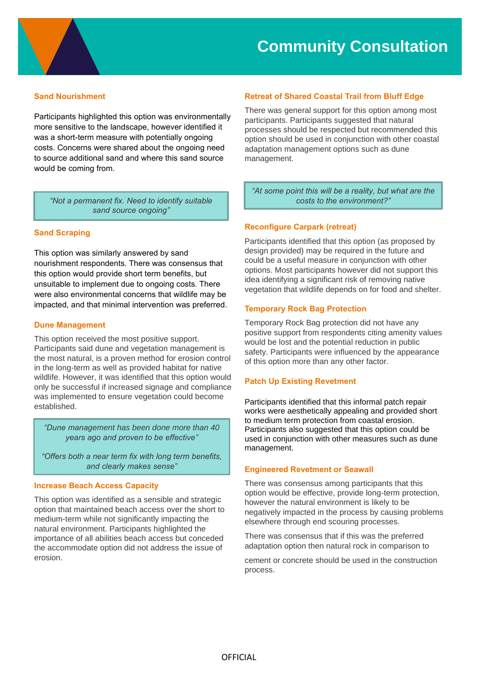

### **Sand Nourishment**

Participants highlighted this option was environmentally more sensitive to the landscape, however identified it was a short-term measure with potentially ongoing costs. Concerns were shared about the ongoing need to source additional sand and where this sand source would be coming from.

*"Not a permanent fix. Need to identify suitable sand source ongoing"*

#### **Sand Scraping**

This option was similarly answered by sand nourishment respondents. There was consensus that this option would provide short term benefits, but unsuitable to implement due to ongoing costs. There were also environmental concerns that wildlife may be impacted, and that minimal intervention was preferred.

#### **Dune Management**

This option received the most positive support. Participants said dune and vegetation management is the most natural, is a proven method for erosion control in the long-term as well as provided habitat for native wildlife. However, it was identified that this option would only be successful if increased signage and compliance was implemented to ensure vegetation could become established.

*"Dune management has been done more than 40 years ago and proven to be effective"*

*"Offers both a near term fix with long term benefits, and clearly makes sense"*

#### **Increase Beach Access Capacity**

This option was identified as a sensible and strategic option that maintained beach access over the short to medium-term while not significantly impacting the natural environment. Participants highlighted the importance of all abilities beach access but conceded the accommodate option did not address the issue of erosion.

#### **Retreat of Shared Coastal Trail from Bluff Edge**

There was general support for this option among most participants. Participants suggested that natural processes should be respected but recommended this option should be used in conjunction with other coastal adaptation management options such as dune management.

*"At some point this will be a reality, but what are the costs to the environment?"*

#### **Reconfigure Carpark (retreat)**

Participants identified that this option (as proposed by design provided) may be required in the future and could be a useful measure in conjunction with other options. Most participants however did not support this idea identifying a significant risk of removing native vegetation that wildlife depends on for food and shelter.

#### **Temporary Rock Bag Protection**

Temporary Rock Bag protection did not have any positive support from respondents citing amenity values would be lost and the potential reduction in public safety. Participants were influenced by the appearance of this option more than any other factor.

#### **Patch Up Existing Revetment**

Participants identified that this informal patch repair works were aesthetically appealing and provided short to medium term protection from coastal erosion. Participants also suggested that this option could be used in conjunction with other measures such as dune management.

#### **Engineered Revetment or Seawall**

There was consensus among participants that this option would be effective, provide long-term protection, however the natural environment is likely to be negatively impacted in the process by causing problems elsewhere through end scouring processes.

There was consensus that if this was the preferred adaptation option then natural rock in comparison to

cement or concrete should be used in the construction process.